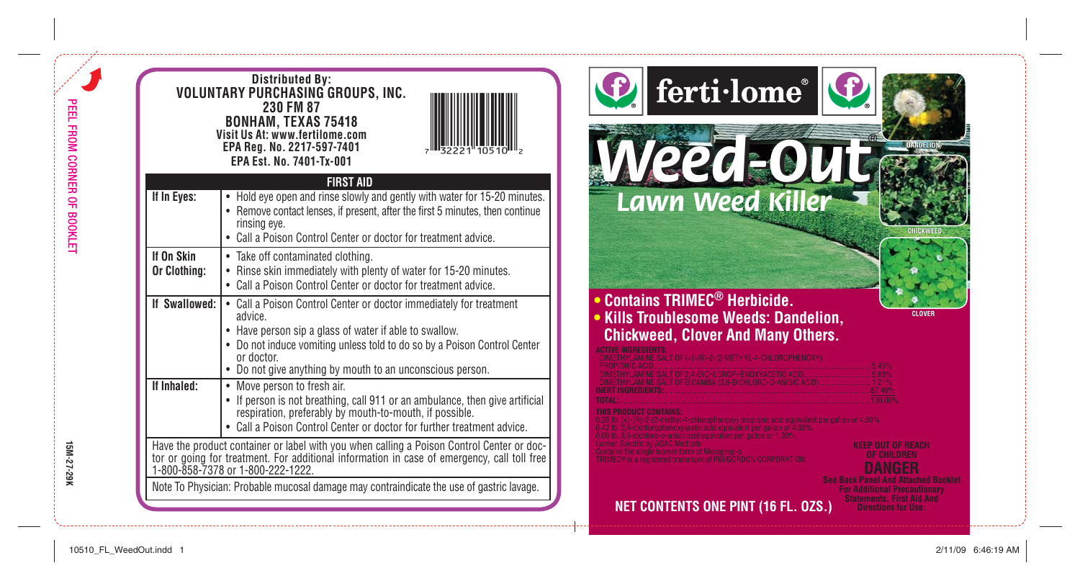|                            | <b>Distributed By:</b><br>VOLUNTARY PURCHASING GROUPS, INC.<br>230 FM 87<br>BONHAM, TEXAS 75418<br>Visit Us At: www.fertilome.com<br>EPA Reg. No. 2217-597-7401<br>EPA Est. No. 7401-Tx-001                                                                                                    | ferti·lome®                                                                                                                                                                                      |
|----------------------------|------------------------------------------------------------------------------------------------------------------------------------------------------------------------------------------------------------------------------------------------------------------------------------------------|--------------------------------------------------------------------------------------------------------------------------------------------------------------------------------------------------|
| If In Eyes:                | <b>FIRST AID</b><br>• Hold eye open and rinse slowly and gently with water for 15-20 minutes.<br>• Remove contact lenses, if present, after the first 5 minutes, then continue<br>rinsing eye.<br>• Call a Poison Control Center or doctor for treatment advice.                               | <b>Weed-OU</b>                                                                                                                                                                                   |
| If On Skin<br>Or Clothing: | • Take off contaminated clothing.<br>• Rinse skin immediately with plenty of water for 15-20 minutes.<br>• Call a Poison Control Center or doctor for treatment advice.                                                                                                                        |                                                                                                                                                                                                  |
| If Swallowed:              | • Call a Poison Control Center or doctor immediately for treatment<br>advice.<br>• Have person sip a glass of water if able to swallow.<br>• Do not induce vomiting unless told to do so by a Poison Control Center<br>or doctor.<br>• Do not give anything by mouth to an unconscious person. | <b>Contains TRIMEC<sup>®</sup> Herbicide.</b><br><b>CLOVER</b><br><b>Kills Troublesome Weeds: Dandelion,</b><br><b>Chickweed, Clover And Many Others.</b><br>+)-(R)-2-(2-METHYL-4-CHLOROPHENOXY) |
| If Inhaled:                | • Move person to fresh air.<br>• If person is not breathing, call 911 or an ambulance, then give artificial respiration, preferably by mouth-to-mouth, if possible.<br>• Call a Poison Control Center or doctor for further treatment advice.                                                  |                                                                                                                                                                                                  |
|                            | Have the product container or label with you when calling a Poison Control Center or doctor or going for treatment. For additional information in case of emergency, call toll free 1-800-858-7378 or 1-800-222-1222.                                                                          | (EEP OUT OF REACH                                                                                                                                                                                |
|                            | Note To Physician: Probable mucosal damage may contraindicate the use of gastric lavage.                                                                                                                                                                                                       | ior Additional Precautionar<br>Statements, First Aid And<br><b>NET CONTENTS ONE PINT (16 FL. 0ZS.)</b>                                                                                           |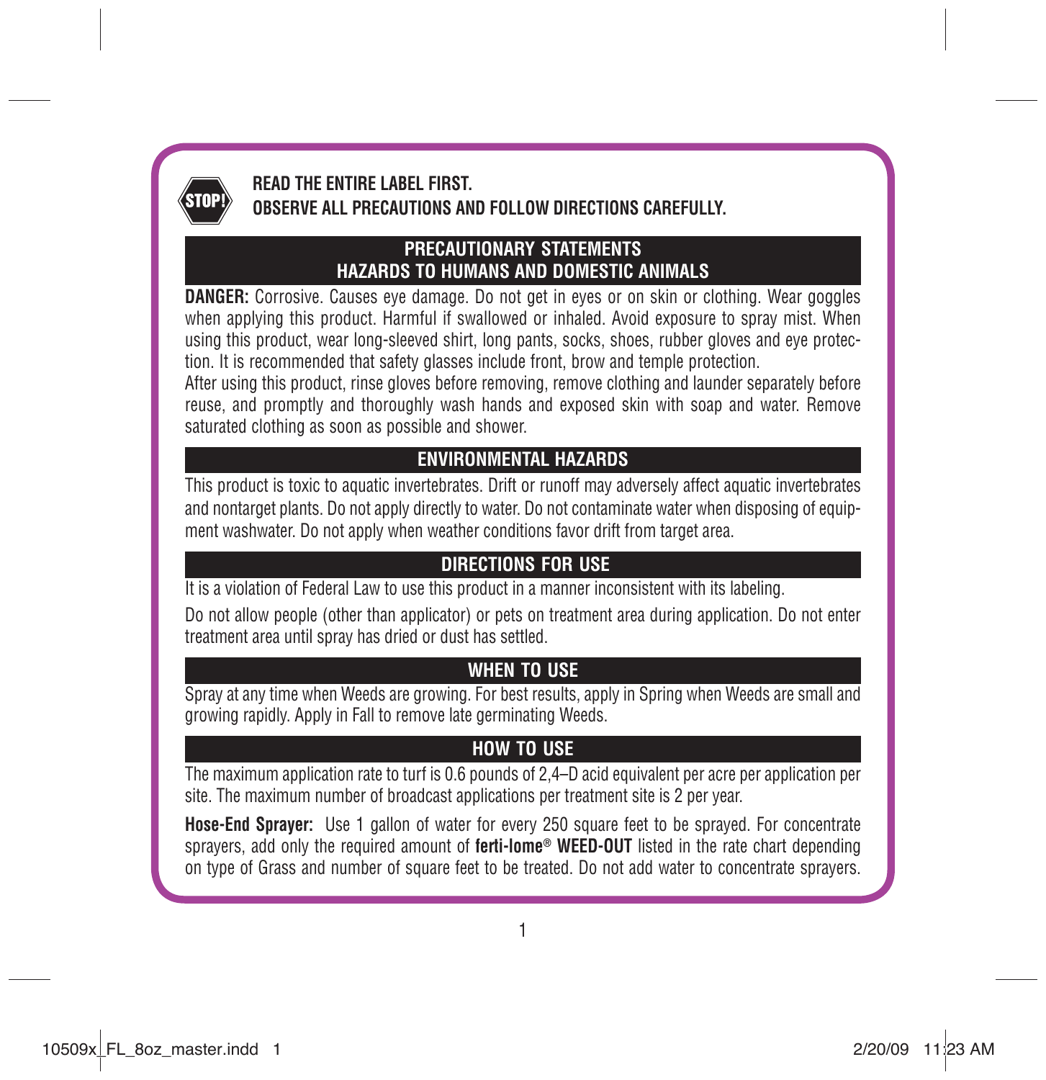

# **READ THE ENTIRE LABEL FIRST. OBSERVE ALL PRECAUTIONS AND FOLLOW DIRECTIONS CAREFULLY.**

#### **PRECAUTIONARY STATEMENTS HAZARDS TO HUMANS AND DOMESTIC ANIMALS**

**DANGER:** Corrosive. Causes eye damage. Do not get in eyes or on skin or clothing. Wear goggles when applying this product. Harmful if swallowed or inhaled. Avoid exposure to spray mist. When using this product, wear long-sleeved shirt, long pants, socks, shoes, rubber gloves and eye protection. It is recommended that safety glasses include front, brow and temple protection.

After using this product, rinse gloves before removing, remove clothing and launder separately before reuse, and promptly and thoroughly wash hands and exposed skin with soap and water. Remove saturated clothing as soon as possible and shower.

# **ENVIRONMENTAL HAZARDS**

This product is toxic to aquatic invertebrates. Drift or runoff may adversely affect aquatic invertebrates and nontarget plants. Do not apply directly to water. Do not contaminate water when disposing of equipment washwater. Do not apply when weather conditions favor drift from target area.

## **DIRECTIONS FOR USE**

It is a violation of Federal Law to use this product in a manner inconsistent with its labeling.

Do not allow people (other than applicator) or pets on treatment area during application. Do not enter treatment area until spray has dried or dust has settled.

## **WHEN TO USE**

Spray at any time when Weeds are growing. For best results, apply in Spring when Weeds are small and growing rapidly. Apply in Fall to remove late germinating Weeds.

# **HOW TO USE**

The maximum application rate to turf is 0.6 pounds of 2,4–D acid equivalent per acre per application per site. The maximum number of broadcast applications per treatment site is 2 per year.

**Hose-End Sprayer:** Use 1 gallon of water for every 250 square feet to be sprayed. For concentrate sprayers, add only the required amount of **ferti-lome® WEED-OUT** listed in the rate chart depending on type of Grass and number of square feet to be treated. Do not add water to concentrate sprayers.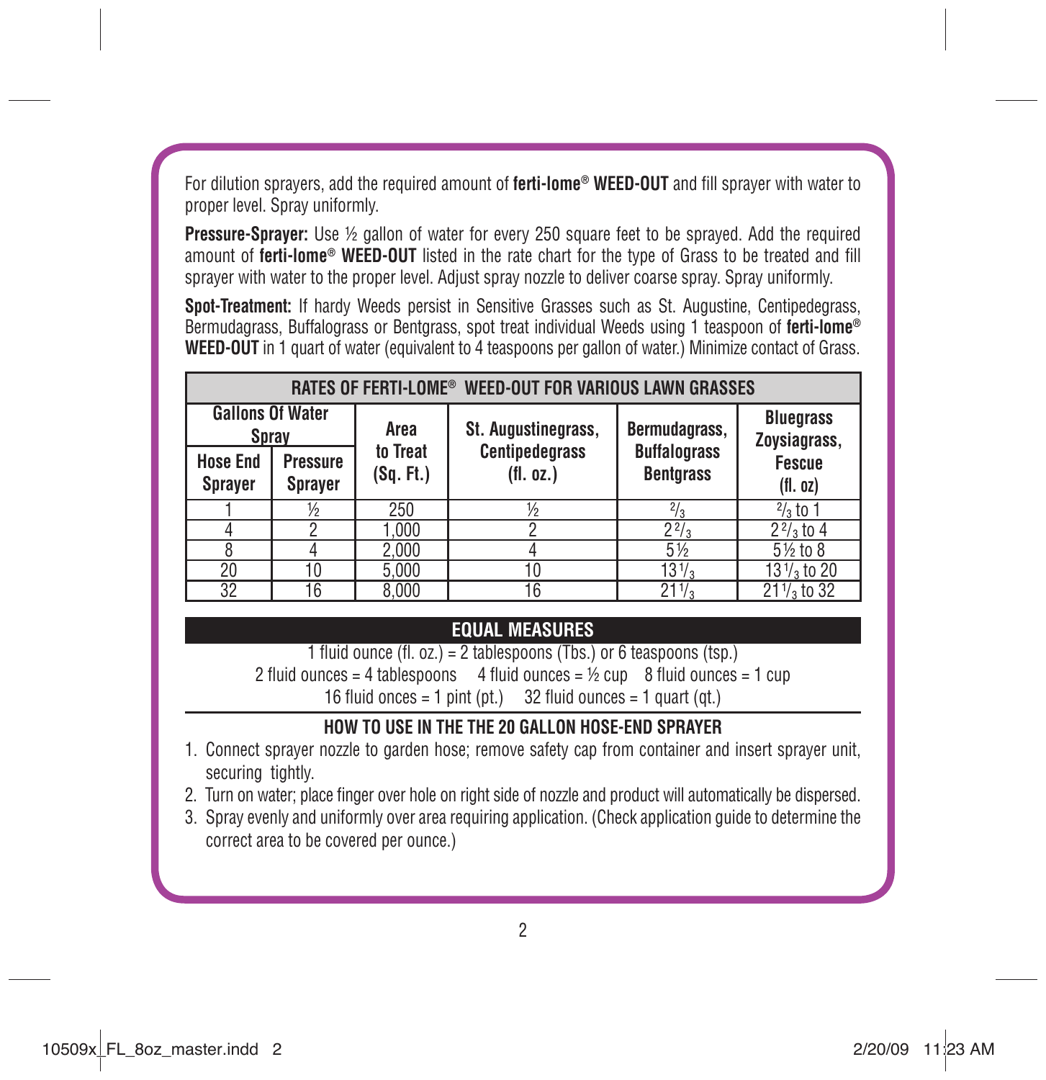For dilution sprayers, add the required amount of **ferti-lome<sup>®</sup> WEED-OUT** and fill sprayer with water to proper level. Spray uniformly.

**Pressure-Sprayer:** Use ½ gallon of water for every 250 square feet to be sprayed. Add the required amount of **ferti-lome<sup>®</sup> WEED-OUT** listed in the rate chart for the type of Grass to be treated and fill sprayer with water to the proper level. Adjust spray nozzle to deliver coarse spray. Spray uniformly.

**Spot-Treatment:** If hardy Weeds persist in Sensitive Grasses such as St. Augustine, Centipedegrass, Bermudagrass, Buffalograss or Bentgrass, spot treat individual Weeds using 1 teaspoon of **ferti-lome® WEED-OUT** in 1 quart of water (equivalent to 4 teaspoons per gallon of water.) Minimize contact of Grass.

| RATES OF FERTI-LOME® WEED-OUT FOR VARIOUS LAWN GRASSES |                            |                             |                                    |                                         |                                  |
|--------------------------------------------------------|----------------------------|-----------------------------|------------------------------------|-----------------------------------------|----------------------------------|
| <b>Gallons Of Water</b><br><b>Spray</b>                |                            | St. Augustinegrass,<br>Area |                                    | Bermudagrass,                           | <b>Bluegrass</b><br>Zoysiagrass, |
| <b>Hose End</b><br><b>Sprayer</b>                      | <b>Pressure</b><br>Sprayer | to Treat<br>(Sq. Ft.)       | <b>Centipedegrass</b><br>(fl. oz.) | <b>Buffalograss</b><br><b>Bentgrass</b> | <b>Fescue</b><br>(fl. oz)        |
|                                                        | ⅓                          | 250                         | $\frac{1}{2}$                      | $\sqrt[2]{3}$                           | $\frac{2}{3}$ to 1               |
|                                                        | 2                          | 1.000                       |                                    | $2^{2}/3$                               | $22/3$ to 4                      |
|                                                        |                            | 2,000                       |                                    | 5 1/2                                   | 51/2 to 8                        |
| 20                                                     | 10                         | 5,000                       | 10                                 | $13\frac{1}{3}$                         | $13\frac{1}{3}$ to 20            |
| 32                                                     | 16                         | 8.000                       | 16                                 | $21\frac{1}{3}$                         | $21\frac{1}{3}$ to 32            |

## **EQUAL MEASURES**

1 fluid ounce (fl. oz.) = 2 tablespoons (Tbs.) or 6 teaspoons (tsp.) 2 fluid ounces = 4 tablespoons 4 fluid ounces =  $\frac{1}{2}$  cup 8 fluid ounces = 1 cup 16 fluid onces = 1 pint (pt.)  $32$  fluid ounces = 1 quart (qt.)

#### **HOW TO USE IN THE THE 20 GALLON HOSE-END SPRAYER**

- 1. Connect sprayer nozzle to garden hose; remove safety cap from container and insert sprayer unit, securing tightly.
- 2. Turn on water; place finger over hole on right side of nozzle and product will automatically be dispersed.
- 3. Spray evenly and uniformly over area requiring application. (Check application guide to determine the correct area to be covered per ounce.)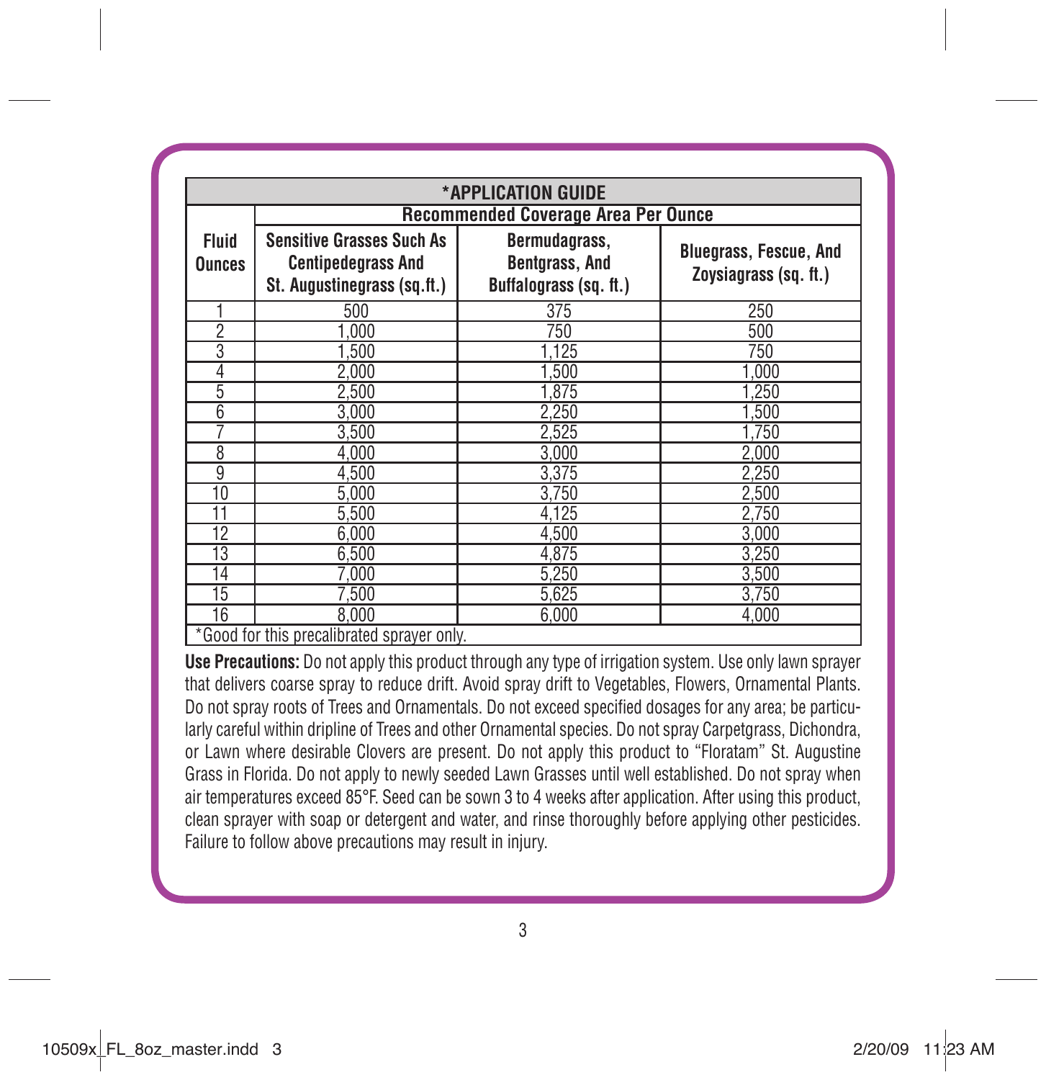| *APPLICATION GUIDE            |                                                                                              |                                                                  |                                                        |  |
|-------------------------------|----------------------------------------------------------------------------------------------|------------------------------------------------------------------|--------------------------------------------------------|--|
|                               | <b>Recommended Coverage Area Per Ounce</b>                                                   |                                                                  |                                                        |  |
| <b>Fluid</b><br><b>Ounces</b> | <b>Sensitive Grasses Such As</b><br><b>Centipedegrass And</b><br>St. Augustinegrass (sg.ft.) | Bermudagrass,<br><b>Bentgrass, And</b><br>Buffalograss (sq. ft.) | <b>Bluegrass, Fescue, And</b><br>Zoysiagrass (sq. ft.) |  |
|                               | 500                                                                                          | 375                                                              | 250                                                    |  |
| 2                             | 1.000                                                                                        | 750                                                              | 500                                                    |  |
| 3                             | 1,500                                                                                        | 1.125                                                            | 750                                                    |  |
| 4                             | 2,000                                                                                        | 1,500                                                            | 1,000                                                  |  |
| 5                             | 2,500                                                                                        | 1.875                                                            | 1.250                                                  |  |
| $\overline{6}$                | 3,000                                                                                        | 2,250                                                            | 1,500                                                  |  |
| 7                             | 3,500                                                                                        | 2,525                                                            | 1.750                                                  |  |
| 8                             | 4,000                                                                                        | 3,000                                                            | 2,000                                                  |  |
| 9                             | 4,500                                                                                        | 3,375                                                            | 2,250                                                  |  |
| 10                            | 5.000                                                                                        | 3.750                                                            | 2.500                                                  |  |
| 11                            | 5,500                                                                                        | 4,125                                                            | 2.750                                                  |  |
| $\overline{12}$               | 6.000                                                                                        | 4.500                                                            | 3.000                                                  |  |
| 13                            | 6.500                                                                                        | 4.875                                                            | 3.250                                                  |  |
| 14                            | 7.000                                                                                        | 5.250                                                            | 3,500                                                  |  |
| 15                            | 7,500                                                                                        | 5,625                                                            | 3,750                                                  |  |
| 16                            | 8.000                                                                                        | 6.000                                                            | 4.000                                                  |  |

**Use Precautions:** Do not apply this product through any type of irrigation system. Use only lawn sprayer that delivers coarse spray to reduce drift. Avoid spray drift to Vegetables, Flowers, Ornamental Plants. Do not spray roots of Trees and Ornamentals. Do not exceed specified dosages for any area; be particularly careful within dripline of Trees and other Ornamental species. Do not spray Carpetgrass, Dichondra, or Lawn where desirable Clovers are present. Do not apply this product to "Floratam" St. Augustine Grass in Florida. Do not apply to newly seeded Lawn Grasses until well established. Do not spray when air temperatures exceed 85°F. Seed can be sown 3 to 4 weeks after application. After using this product, clean sprayer with soap or detergent and water, and rinse thoroughly before applying other pesticides. Failure to follow above precautions may result in injury.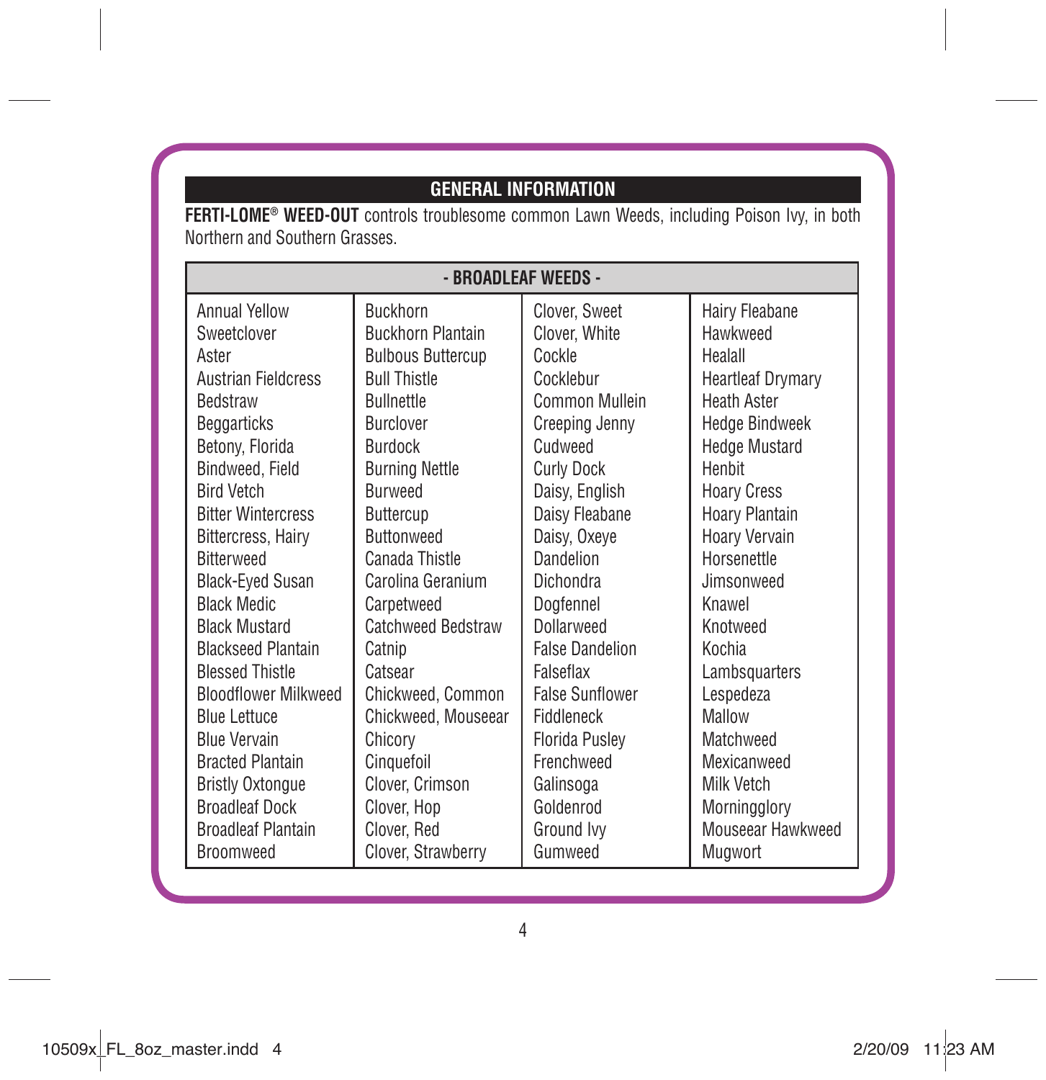# **GENERAL INFORMATION**

**FERTI-LOME® WEED-OUT** controls troublesome common Lawn Weeds, including Poison Ivy, in both Northern and Southern Grasses.

| - BROADLEAF WEEDS -         |                           |                        |                          |
|-----------------------------|---------------------------|------------------------|--------------------------|
| Annual Yellow               | <b>Buckhorn</b>           | Clover, Sweet          | Hairy Fleabane           |
| Sweetclover                 | <b>Buckhorn Plantain</b>  | Clover, White          | Hawkweed                 |
| Aster                       | <b>Bulbous Buttercup</b>  | Cockle                 | Healall                  |
| <b>Austrian Fieldcress</b>  | <b>Bull Thistle</b>       | Cocklebur              | <b>Heartleaf Drymary</b> |
| <b>Bedstraw</b>             | <b>Bullnettle</b>         | Common Mullein         | <b>Heath Aster</b>       |
| <b>Beggarticks</b>          | Burclover                 | <b>Creeping Jenny</b>  | <b>Hedge Bindweek</b>    |
| Betony, Florida             | <b>Burdock</b>            | Cudweed                | <b>Hedge Mustard</b>     |
| Bindweed, Field             | <b>Burning Nettle</b>     | <b>Curly Dock</b>      | Henhit                   |
| <b>Bird Vetch</b>           | <b>Burweed</b>            | Daisy, English         | <b>Hoary Cress</b>       |
| <b>Bitter Wintercress</b>   | Buttercup                 | Daisy Fleabane         | <b>Hoary Plantain</b>    |
| Bittercress, Hairy          | <b>Buttonweed</b>         | Daisy, Oxeye           | Hoary Vervain            |
| <b>Ritterweed</b>           | Canada Thistle            | Dandelion              | Horsenettle              |
| <b>Black-Eyed Susan</b>     | Carolina Geranium         | Dichondra              | Jimsonweed               |
| <b>Black Medic</b>          | Carpetweed                | Doafennel              | Knawel                   |
| <b>Black Mustard</b>        | <b>Catchweed Bedstraw</b> | Dollarweed             | Knotweed                 |
| <b>Blackseed Plantain</b>   | Catnip                    | <b>False Dandelion</b> | Kochia                   |
| <b>Blessed Thistle</b>      | Catsear                   | Falseflax              | Lambsquarters            |
| <b>Bloodflower Milkweed</b> | Chickweed, Common         | <b>False Sunflower</b> | Lespedeza                |
| <b>Blue Lettuce</b>         | Chickweed. Mouseear       | Fiddleneck             | Mallow                   |
| <b>Blue Vervain</b>         | Chicory                   | <b>Florida Pusley</b>  | Matchweed                |
| <b>Bracted Plantain</b>     | Cinquefoil                | Frenchweed             | Mexicanweed              |
| <b>Bristly Oxtonque</b>     | Clover. Crimson           | Galinsoga              | Milk Vetch               |
| <b>Broadleaf Dock</b>       | Clover, Hop               | Goldenrod              | Morningglory             |
| <b>Broadleaf Plantain</b>   | Clover, Red               | Ground Ivy             | Mouseear Hawkweed        |
| Broomweed                   | Clover, Strawberry        | Gumweed                | Mugwort                  |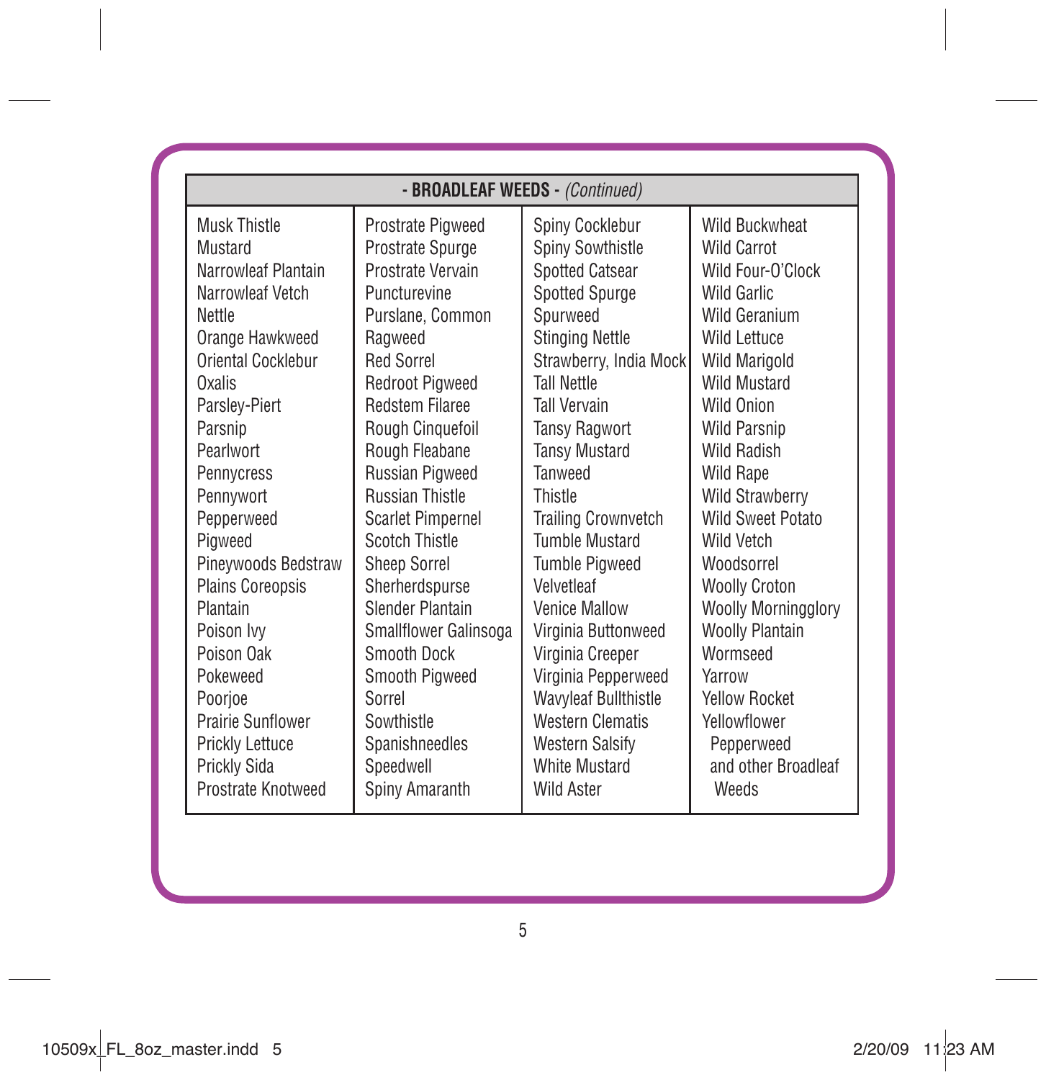| - BROADLEAF WEEDS - (Continued)                                                     |                                                                                                  |                                                                                                      |                                                                                                       |
|-------------------------------------------------------------------------------------|--------------------------------------------------------------------------------------------------|------------------------------------------------------------------------------------------------------|-------------------------------------------------------------------------------------------------------|
| Musk Thistle                                                                        | Prostrate Pigweed                                                                                | Spiny Cocklebur                                                                                      | <b>Wild Buckwheat</b>                                                                                 |
| Mustard                                                                             | Prostrate Spurge                                                                                 | <b>Spiny Sowthistle</b>                                                                              | Wild Carrot                                                                                           |
| Narrowleaf Plantain                                                                 | Prostrate Vervain                                                                                | Spotted Catsear                                                                                      | Wild Four-O'Clock                                                                                     |
| Narrowleaf Vetch                                                                    | Puncturevine                                                                                     | Spotted Spurge                                                                                       | Wild Garlic                                                                                           |
| <b>Nettle</b>                                                                       | Purslane, Common                                                                                 | Spurweed                                                                                             | Wild Geranium                                                                                         |
| Orange Hawkweed                                                                     | Ragweed                                                                                          | <b>Stinging Nettle</b>                                                                               | Wild Lettuce                                                                                          |
| Oriental Cocklebur                                                                  | Red Sorrel                                                                                       | Strawberry, India Mock                                                                               | <b>Wild Marigold</b>                                                                                  |
| Oxalis                                                                              | <b>Redroot Pigweed</b>                                                                           | Tall Nettle                                                                                          | <b>Wild Mustard</b>                                                                                   |
| Parslev-Piert                                                                       | <b>Redstem Filaree</b>                                                                           | <b>Tall Vervain</b>                                                                                  | Wild Onion                                                                                            |
| Parsnip<br>Pearlwort<br>Pennycress<br>Pennywort                                     | Rough Cinguefoil<br>Rough Fleabane<br>Russian Pigweed<br><b>Russian Thistle</b>                  | <b>Tansy Ragwort</b><br><b>Tansy Mustard</b><br>Tanweed<br>Thistle                                   | <b>Wild Parsnip</b><br>Wild Radish<br><b>Wild Rape</b><br><b>Wild Strawberry</b><br>Wild Sweet Potato |
| Pepperweed<br>Piaweed<br>Pineywoods Bedstraw<br><b>Plains Coreopsis</b><br>Plantain | Scarlet Pimpernel<br>Scotch Thistle<br><b>Sheep Sorrel</b><br>Sherherdspurse<br>Slender Plantain | <b>Trailing Crownvetch</b><br>Tumble Mustard<br><b>Tumble Pigweed</b><br>Velvetleaf<br>Venice Mallow | Wild Vetch<br>Woodsorrel<br><b>Woolly Croton</b><br>Woolly Morningglory                               |
| Poison Ivv                                                                          | Smallflower Galinsoga                                                                            | Virginia Buttonweed                                                                                  | <b>Woolly Plantain</b>                                                                                |
| Poison Oak                                                                          | Smooth Dock                                                                                      | Virginia Creeper                                                                                     | Wormseed                                                                                              |
| Pokeweed                                                                            | Smooth Pigweed                                                                                   | Virginia Pepperweed                                                                                  | Yarrow                                                                                                |
| Poorjoe                                                                             | Sorrel                                                                                           | Wavyleaf Bullthistle                                                                                 | Yellow Rocket                                                                                         |
| Prairie Sunflower                                                                   | Sowthistle                                                                                       | <b>Western Clematis</b>                                                                              | Yellowflower                                                                                          |
| Prickly Lettuce                                                                     | Spanishneedles                                                                                   | <b>Western Salsify</b>                                                                               | Pepperweed                                                                                            |
| Prickly Sida                                                                        | Speedwell                                                                                        | White Mustard                                                                                        | and other Broadleaf                                                                                   |
| Prostrate Knotweed                                                                  | Spiny Amaranth                                                                                   | Wild Aster                                                                                           | Weeds                                                                                                 |